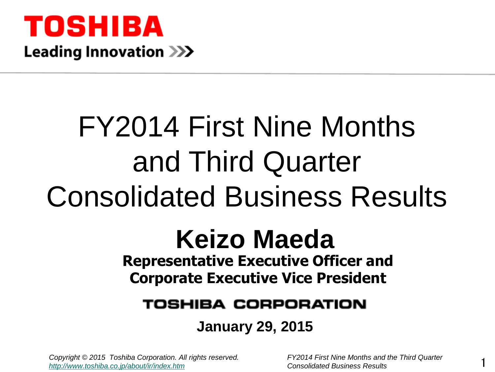

# FY2014 First Nine Months and Third Quarter Consolidated Business Results

# **Representative Executive Officer and Corporate Executive Vice President Keizo Maeda**

#### TOSHIBA CORPORATION

#### **January 29, 2015**

*Copyright © 2015 Toshiba Corporation. All rights reserved. FY2014 First Nine Months and the Third Quarter <http://www.toshiba.co.jp/about/ir/index.htm> Consolidated Business Results*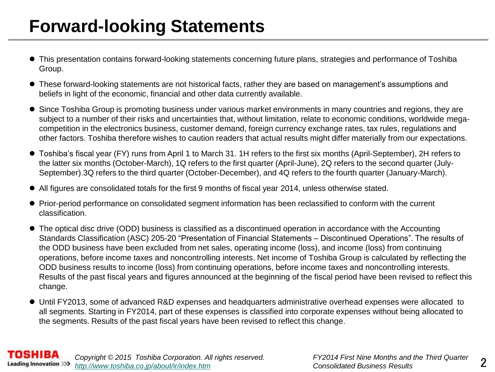# **Forward-looking Statements**

- This presentation contains forward-looking statements concerning future plans, strategies and performance of Toshiba Group.
- These forward-looking statements are not historical facts, rather they are based on management's assumptions and beliefs in light of the economic, financial and other data currently available.
- Since Toshiba Group is promoting business under various market environments in many countries and regions, they are subject to a number of their risks and uncertainties that, without limitation, relate to economic conditions, worldwide megacompetition in the electronics business, customer demand, foreign currency exchange rates, tax rules, regulations and other factors. Toshiba therefore wishes to caution readers that actual results might differ materially from our expectations.
- Toshiba's fiscal year (FY) runs from April 1 to March 31. 1H refers to the first six months (April-September), 2H refers to the latter six months (October-March), 1Q refers to the first quarter (April-June), 2Q refers to the second quarter (July-September).3Q refers to the third quarter (October-December), and 4Q refers to the fourth quarter (January-March).
- All figures are consolidated totals for the first 9 months of fiscal year 2014, unless otherwise stated.
- Prior-period performance on consolidated segment information has been reclassified to conform with the current classification.
- The optical disc drive (ODD) business is classified as a discontinued operation in accordance with the Accounting Standards Classification (ASC) 205-20 "Presentation of Financial Statements – Discontinued Operations". The results of the ODD business have been excluded from net sales, operating income (loss), and income (loss) from continuing operations, before income taxes and noncontrolling interests. Net income of Toshiba Group is calculated by reflecting the ODD business results to income (loss) from continuing operations, before income taxes and noncontrolling interests. Results of the past fiscal years and figures announced at the beginning of the fiscal period have been revised to reflect this change.
- Until FY2013, some of advanced R&D expenses and headquarters administrative overhead expenses were allocated to all segments. Starting in FY2014, part of these expenses is classified into corporate expenses without being allocated to the segments. Results of the past fiscal years have been revised to reflect this change.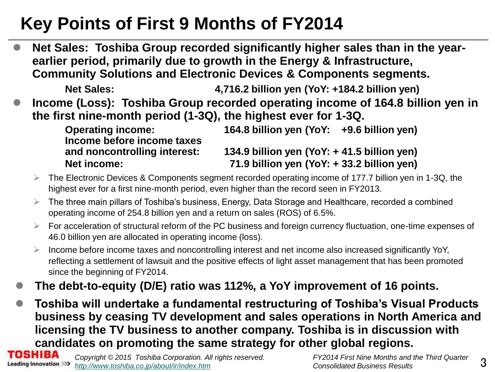# **Key Points of First 9 Months of FY2014**

 **Net Sales: Toshiba Group recorded significantly higher sales than in the yearearlier period, primarily due to growth in the Energy & Infrastructure, Community Solutions and Electronic Devices & Components segments.**

**Net Sales: 4,716.2 billion yen (YoY: +184.2 billion yen) Income (Loss): Toshiba Group recorded operating income of 164.8 billion yen in the first nine-month period (1-3Q), the highest ever for 1-3Q.** 

**Income before income taxes**

**Operating income: 164.8 billion yen (YoY: +9.6 billion yen)**

**and noncontrolling interest: 134.9 billion yen (YoY: + 41.5 billion yen) Net income: 71.9 billion yen (YoY: + 33.2 billion yen)**

- $\triangleright$  The Electronic Devices & Components segment recorded operating income of 177.7 billion yen in 1-3Q, the highest ever for a first nine-month period, even higher than the record seen in FY2013.
- $\triangleright$  The three main pillars of Toshiba's business, Energy, Data Storage and Healthcare, recorded a combined operating income of 254.8 billion yen and a return on sales (ROS) of 6.5%.
- $\triangleright$  For acceleration of structural reform of the PC business and foreign currency fluctuation, one-time expenses of 46.0 billion yen are allocated in operating income (loss).
- Income before income taxes and noncontrolling interest and net income also increased significantly YoY, reflecting a settlement of lawsuit and the positive effects of light asset management that has been promoted since the beginning of FY2014.
- **The debt-to-equity (D/E) ratio was 112%, a YoY improvement of 16 points.**
- **Toshiba will undertake a fundamental restructuring of Toshiba's Visual Products business by ceasing TV development and sales operations in North America and licensing the TV business to another company. Toshiba is in discussion with candidates on promoting the same strategy for other global regions.**

TOSHIBA *Copyright © 2015 Toshiba Corporation. All rights reserved. FY2014 First Nine Months and the Third Quarter*  **Leading Innovation >>>** http://www.toshiba.co.ip/about/ir/index.htm *Consolidated Business Results*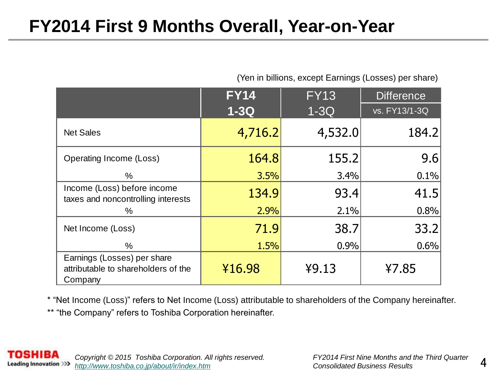### **FY2014 First 9 Months Overall, Year-on-Year**

| (Yen in billions, except Earnings (Losses) per share) |  |
|-------------------------------------------------------|--|
|-------------------------------------------------------|--|

|                                                                               | <b>FY14</b> | <b>FY13</b> | <b>Difference</b> |
|-------------------------------------------------------------------------------|-------------|-------------|-------------------|
|                                                                               | $1-3Q$      | $1 - 3Q$    | vs. FY13/1-3Q     |
| <b>Net Sales</b>                                                              | 4,716.2     | 4,532.0     | 184.2             |
| Operating Income (Loss)                                                       | 164.8       | 155.2       | 9.6               |
| $\%$                                                                          | 3.5%        | 3.4%        | 0.1%              |
| Income (Loss) before income<br>taxes and noncontrolling interests             | 134.9       | 93.4        | 41.5              |
| ℅                                                                             | 2.9%        | 2.1%        | 0.8%              |
| Net Income (Loss)                                                             | 71.9        | 38.7        | 33.2              |
| $\%$                                                                          | 1.5%        | 0.9%        | 0.6%              |
| Earnings (Losses) per share<br>attributable to shareholders of the<br>Company | ¥16.98      | 49.13       | ¥7.85             |

\* "Net Income (Loss)" refers to Net Income (Loss) attributable to shareholders of the Company hereinafter.

\*\* "the Company" refers to Toshiba Corporation hereinafter.

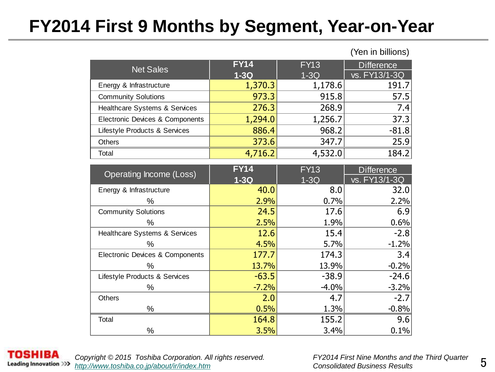# **FY2014 First 9 Months by Segment, Year-on-Year**

| <b>Net Sales</b>                | <b>FY14</b> | <b>FY13</b> | <b>Difference</b> |
|---------------------------------|-------------|-------------|-------------------|
|                                 | $1-3Q$      | $1-3Q$      | vs. FY13/1-3Q     |
| Energy & Infrastructure         | 1,370.3     | 1,178.6     | 191.7             |
| <b>Community Solutions</b>      | 973.3       | 915.8       | 57.5              |
| Healthcare Systems & Services   | 276.3       | 268.9       | 7.4               |
| Electronic Devices & Components | 1,294.0     | 1,256.7     | 37.3              |
| Lifestyle Products & Services   | 886.4       | 968.2       | $-81.8$           |
| Others                          | 373.6       | 347.7       | 25.9              |
| Total                           | 4,716.2     | 4,532.0     | 184.2             |

| Operating Income (Loss)         | <b>FY14</b> | FY13    | <b>Difference</b> |
|---------------------------------|-------------|---------|-------------------|
|                                 | $1-3Q$      | $1-3Q$  | vs. FY13/1-3Q     |
| Energy & Infrastructure         | 40.0        | 8.0     | 32.0              |
| %                               | 2.9%        | 0.7%    | 2.2%              |
| <b>Community Solutions</b>      | 24.5        | 17.6    | 6.9               |
| ℅                               | 2.5%        | 1.9%    | 0.6%              |
| Healthcare Systems & Services   | 12.6        | 15.4    | $-2.8$            |
| %                               | 4.5%        | 5.7%    | $-1.2%$           |
| Electronic Devices & Components | 177.7       | 174.3   | 3.4               |
| ℅                               | 13.7%       | 13.9%   | $-0.2%$           |
| Lifestyle Products & Services   | $-63.5$     | $-38.9$ | $-24.6$           |
| %                               | $-7.2%$     | $-4.0%$ | $-3.2%$           |
| <b>Others</b>                   | 2.0         | 4.7     | $-2.7$            |
| %                               | 0.5%        | 1.3%    | $-0.8%$           |
| Total                           | 164.8       | 155.2   | 9.6               |
| %                               | 3.5%        | 3.4%    | 0.1%              |



*Copyright © 2015 Toshiba Corporation. All rights reserved. FY2014 First Nine Months and the Third Quarter <http://www.toshiba.co.jp/about/ir/index.htm> Consolidated Business Results*

(Yen in billions)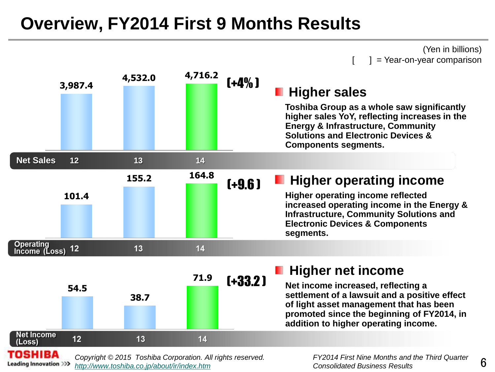### **Overview, FY2014 First 9 Months Results**

(Yen in billions)  $] = \text{Year-on-year comparison}$ 



**Leading Innovation >>>** *<http://www.toshiba.co.jp/about/ir/index.htm> Consolidated Business Results*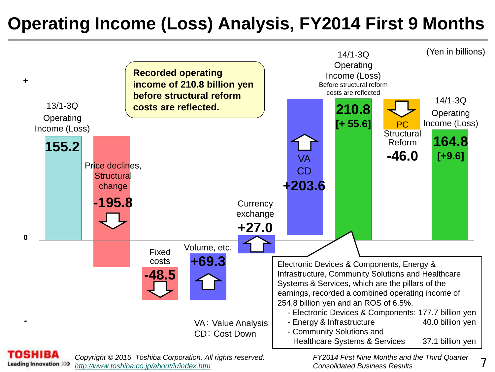# **Operating Income (Loss) Analysis, FY2014 First 9 Months**



**Leading Innovation >>>** *<http://www.toshiba.co.jp/about/ir/index.htm> Consolidated Business Results*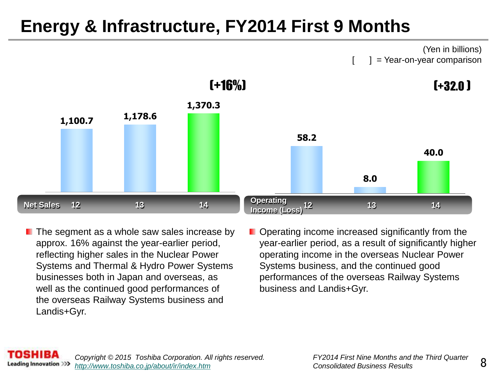# **Energy & Infrastructure, FY2014 First 9 Months**



- $\blacksquare$  The segment as a whole saw sales increase by approx. 16% against the year-earlier period, reflecting higher sales in the Nuclear Power Systems and Thermal & Hydro Power Systems businesses both in Japan and overseas, as well as the continued good performances of the overseas Railway Systems business and Landis+Gyr.
- **Dearmangely** Depending increased significantly from the year-earlier period, as a result of significantly higher operating income in the overseas Nuclear Power Systems business, and the continued good performances of the overseas Railway Systems business and Landis+Gyr.

8

(Yen in billions)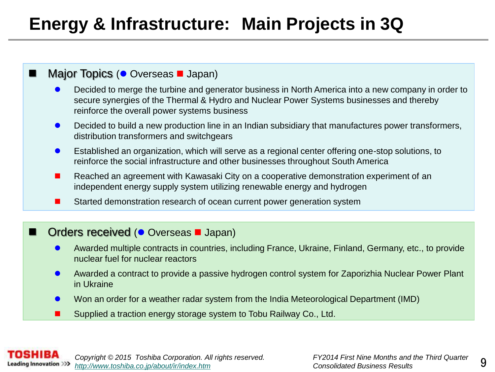# **Energy & Infrastructure: Main Projects in 3Q**

#### $\blacksquare$  Major Topics ( $\bullet$  Overseas  $\blacksquare$  Japan)

- Decided to merge the turbine and generator business in North America into a new company in order to secure synergies of the Thermal & Hydro and Nuclear Power Systems businesses and thereby reinforce the overall power systems business
- **O** Decided to build a new production line in an Indian subsidiary that manufactures power transformers, distribution transformers and switchgears
- Established an organization, which will serve as a regional center offering one-stop solutions, to reinforce the social infrastructure and other businesses throughout South America
- Reached an agreement with Kawasaki City on a cooperative demonstration experiment of an independent energy supply system utilizing renewable energy and hydrogen
- Started demonstration research of ocean current power generation system

#### Orders received ( $\bullet$  Overseas **I** Japan)

- Awarded multiple contracts in countries, including France, Ukraine, Finland, Germany, etc., to provide nuclear fuel for nuclear reactors
- Awarded a contract to provide a passive hydrogen control system for Zaporizhia Nuclear Power Plant in Ukraine
- Won an order for a weather radar system from the India Meteorological Department (IMD)
- Supplied a traction energy storage system to Tobu Railway Co., Ltd.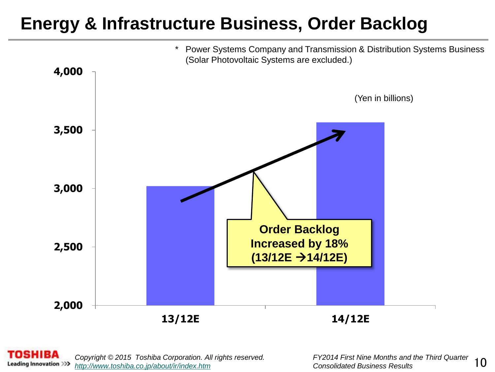## **Energy & Infrastructure Business, Order Backlog**



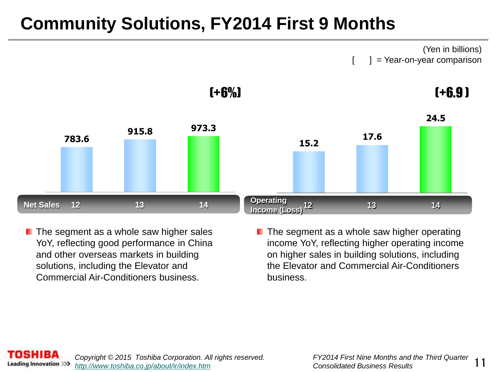# **Community Solutions, FY2014 First 9 Months**

(Yen in billions)  $] = \text{Year-on-year comparison}$ 



 $\blacksquare$  The segment as a whole saw higher sales YoY, reflecting good performance in China and other overseas markets in building solutions, including the Elevator and Commercial Air-Conditioners business.

 $\blacksquare$  The segment as a whole saw higher operating income YoY, reflecting higher operating income on higher sales in building solutions, including the Elevator and Commercial Air-Conditioners business.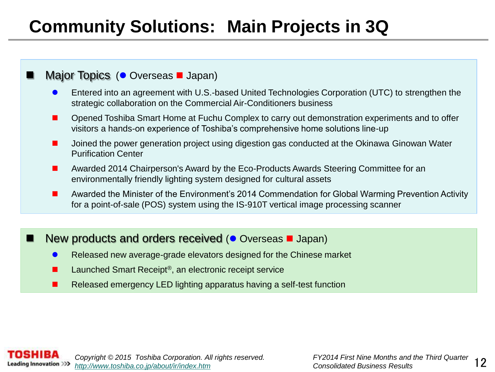# **Community Solutions: Main Projects in 3Q**

#### Major Topics ( Overseas **J** Japan)

- Entered into an agreement with U.S.-based United Technologies Corporation (UTC) to strengthen the strategic collaboration on the Commercial Air-Conditioners business
- Opened Toshiba Smart Home at Fuchu Complex to carry out demonstration experiments and to offer visitors a hands-on experience of Toshiba's comprehensive home solutions line-up
- Joined the power generation project using digestion gas conducted at the Okinawa Ginowan Water Purification Center
- Awarded 2014 Chairperson's Award by the Eco-Products Awards Steering Committee for an environmentally friendly lighting system designed for cultural assets
- **A** Awarded the Minister of the Environment's 2014 Commendation for Global Warming Prevention Activity for a point-of-sale (POS) system using the IS-910T vertical image processing scanner

#### New products and orders received ( $\bullet$  Overseas  $\blacksquare$  Japan)

- Released new average-grade elevators designed for the Chinese market
- Launched Smart Receipt<sup>®</sup>, an electronic receipt service
- **Released emergency LED lighting apparatus having a self-test function**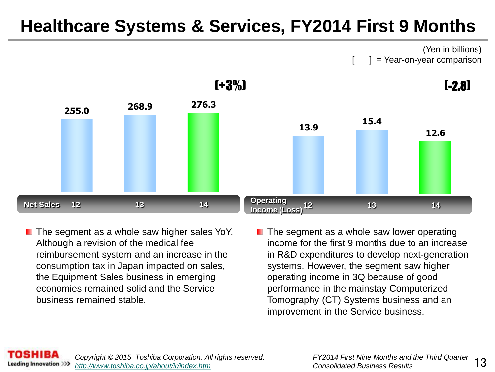## **Healthcare Systems & Services, FY2014 First 9 Months**

(Yen in billions)  $] = \text{Year-on-year comparison}$ 



- $\blacksquare$  The segment as a whole saw higher sales YoY. Although a revision of the medical fee reimbursement system and an increase in the consumption tax in Japan impacted on sales, the Equipment Sales business in emerging economies remained solid and the Service business remained stable.
- $\blacksquare$  The segment as a whole saw lower operating income for the first 9 months due to an increase in R&D expenditures to develop next-generation systems. However, the segment saw higher operating income in 3Q because of good performance in the mainstay Computerized Tomography (CT) Systems business and an improvement in the Service business.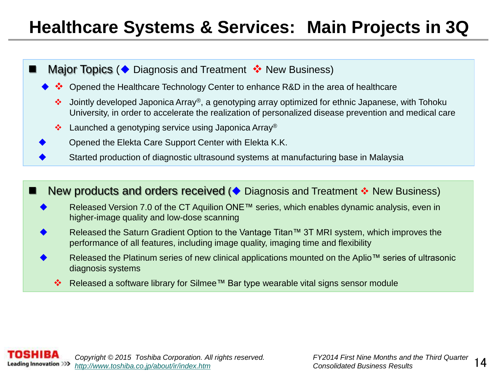## **Healthcare Systems & Services: Main Projects in 3Q**

- Major Topics ( $\blacklozenge$  Diagnosis and Treatment  $\blacklozenge$  New Business)
	- Opened the Healthcare Technology Center to enhance R&D in the area of healthcare
		- Jointly developed Japonica Array®, a genotyping array optimized for ethnic Japanese, with Tohoku University, in order to accelerate the realization of personalized disease prevention and medical care
		- ❖ Launched a genotyping service using Japonica Array<sup>®</sup>
	- Opened the Elekta Care Support Center with Elekta K.K.
	- Started production of diagnostic ultrasound systems at manufacturing base in Malaysia



Released a software library for Silmee™ Bar type wearable vital signs sensor module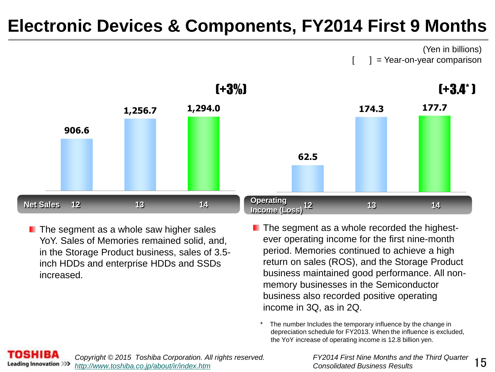## **Electronic Devices & Components, FY2014 First 9 Months**

(Yen in billions)  $] = \text{Year-on-year comparison}$ 



- $\blacksquare$  The segment as a whole saw higher sales YoY. Sales of Memories remained solid, and, in the Storage Product business, sales of 3.5 inch HDDs and enterprise HDDs and SSDs increased.
- The segment as a whole recorded the highestever operating income for the first nine-month period. Memories continued to achieve a high return on sales (ROS), and the Storage Product business maintained good performance. All nonmemory businesses in the Semiconductor business also recorded positive operating income in 3Q, as in 2Q.
	- \* The number Includes the temporary influence by the change in depreciation schedule for FY2013. When the influence is excluded, the YoY increase of operating income is 12.8 billion yen.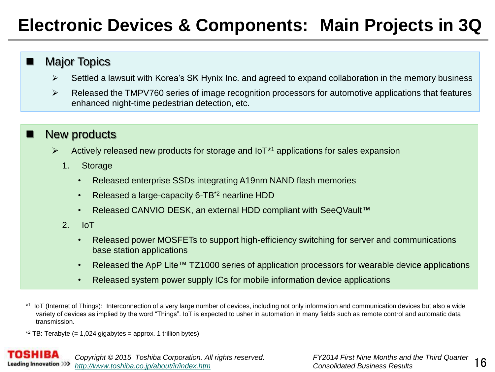# **Electronic Devices & Components: Main Projects in 3Q**

#### **Major Topics**

- $\triangleright$  Settled a lawsuit with Korea's SK Hynix Inc. and agreed to expand collaboration in the memory business
- $\triangleright$  Released the TMPV760 series of image recognition processors for automotive applications that features enhanced night-time pedestrian detection, etc.

#### New products

- $\triangleright$  Actively released new products for storage and IoT<sup>\*1</sup> applications for sales expansion
	- 1. Storage
		- Released enterprise SSDs integrating A19nm NAND flash memories
		- Released a large-capacity 6-TB<sup>\*2</sup> nearline HDD
		- Released CANVIO DESK, an external HDD compliant with SeeQVault™
	- 2. IoT
		- Released power MOSFETs to support high-efficiency switching for server and communications base station applications
		- Released the ApP Lite™ TZ1000 series of application processors for wearable device applications
		- Released system power supply ICs for mobile information device applications
- \* 1 IoT (Internet of Things): Interconnection of a very large number of devices, including not only information and communication devices but also a wide variety of devices as implied by the word "Things". IoT is expected to usher in automation in many fields such as remote control and automatic data transmission.
- $*$ <sup>2</sup> TB: Terabyte (= 1,024 gigabytes = approx. 1 trillion bytes)

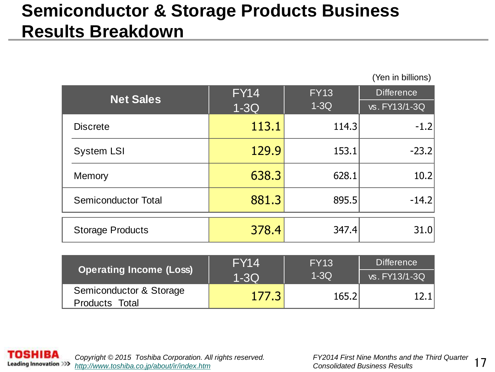# **Semiconductor & Storage Products Business Results Breakdown**

| <b>Net Sales</b>           | <b>FY14</b> | <b>FY13</b> | <b>Difference</b> |
|----------------------------|-------------|-------------|-------------------|
|                            | $1-3Q$      | $1-3Q$      | vs. FY13/1-3Q     |
| <b>Discrete</b>            | 113.1       | 114.3       | $-1.2$            |
| <b>System LSI</b>          | 129.9       | 153.1       | $-23.2$           |
| Memory                     | 638.3       | 628.1       | 10.2              |
| <b>Semiconductor Total</b> | 881.3       | 895.5       | $-14.2$           |
| <b>Storage Products</b>    | 378.4       | 347.4       | 31.0              |

| Operating Income (Loss) | <b>FY14</b> | <b>FY13</b> | <b>Difference</b> |  |
|-------------------------|-------------|-------------|-------------------|--|
|                         | $1-3Q$      | $1-3Q$      | vs. FY13/1-3Q     |  |
| Semiconductor & Storage | 177.3       | 165.2       |                   |  |
| Products Total          |             |             |                   |  |



(Yen in billions)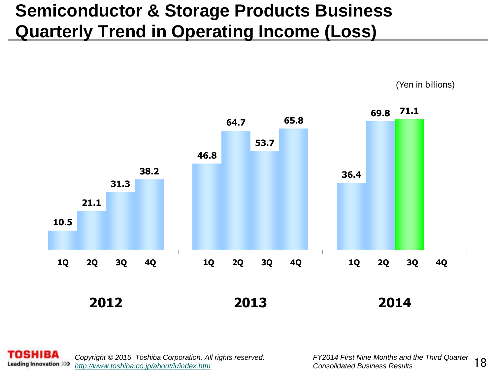# **Semiconductor & Storage Products Business Quarterly Trend in Operating Income (Loss)**



(Yen in billions)

**SHIBA** *Copyright © 2015 Toshiba Corporation. All rights reserved. FY2014 First Nine Months and the Third Quarter*  **Leading Innovation >>>** *<http://www.toshiba.co.jp/about/ir/index.htm> Consolidated Business Results*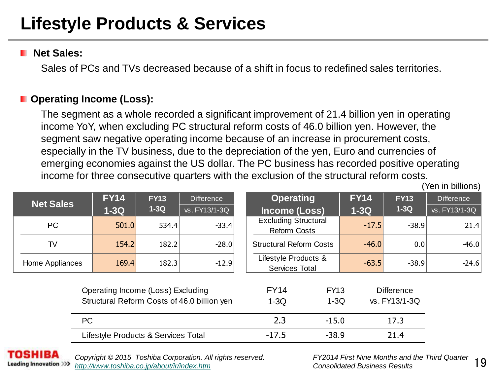# **Lifestyle Products & Services**

#### **Net Sales:**

Sales of PCs and TVs decreased because of a shift in focus to redefined sales territories.

#### $\blacksquare$  Operating Income (Loss):

The segment as a whole recorded a significant improvement of 21.4 billion yen in operating income YoY, when excluding PC structural reform costs of 46.0 billion yen. However, the segment saw negative operating income because of an increase in procurement costs, especially in the TV business, due to the depreciation of the yen, Euro and currencies of emerging economies against the US dollar. The PC business has recorded positive operating income for three consecutive quarters with the exclusion of the structural reform costs.

|                  |                                     |             |                                             | <u>INCONNETION MINGE CONSECUTIVE QUANTERS WILLI MIC CACIUSION OF MIC SMUCIUMAN FEIONIN COSTS.</u> |                       |             |                                    | (Yen in billions) |
|------------------|-------------------------------------|-------------|---------------------------------------------|---------------------------------------------------------------------------------------------------|-----------------------|-------------|------------------------------------|-------------------|
| <b>Net Sales</b> | <b>FY14</b>                         | <b>FY13</b> | Difference                                  | <b>Operating</b>                                                                                  |                       | <b>FY14</b> | <b>FY13</b>                        | <b>Difference</b> |
|                  | $1-3Q$                              | $1-3Q$      | vs. FY13/1-3Q                               | Income (Loss)                                                                                     |                       | $1-3Q$      | $1-3Q$                             | vs. FY13/1-3Q     |
| <b>PC</b>        | 501.0                               | 534.4       | $-33.4$                                     | <b>Excluding Structural</b><br><b>Reform Costs</b>                                                |                       | $-17.5$     | $-38.9$                            | 21.4              |
| TV               | 154.2                               | 182.2       | $-28.0$                                     | <b>Structural Reform Costs</b>                                                                    |                       | $-46.0$     | 0.0                                | $-46.0$           |
| Home Appliances  | 169.4                               | 182.3       | $-12.9$                                     | Lifestyle Products &<br>Services Total                                                            |                       | $-63.5$     | $-38.9$                            | $-24.6$           |
|                  | Operating Income (Loss) Excluding   |             | Structural Reform Costs of 46.0 billion yen | <b>FY14</b><br>$1-3Q$                                                                             | <b>FY13</b><br>$1-3Q$ |             | <b>Difference</b><br>vs. FY13/1-3Q |                   |
| PC               |                                     |             |                                             | 2.3                                                                                               | $-15.0$               |             | 17.3                               |                   |
|                  | Lifestyle Products & Services Total |             |                                             | $-17.5$                                                                                           | $-38.9$               |             | 21.4                               |                   |
|                  |                                     |             |                                             |                                                                                                   |                       |             |                                    |                   |



*Copyright © 2015 Toshiba Corporation. All rights reserved. FY2014 First Nine Months and the Third Quarter <http://www.toshiba.co.jp/about/ir/index.htm> Consolidated Business Results*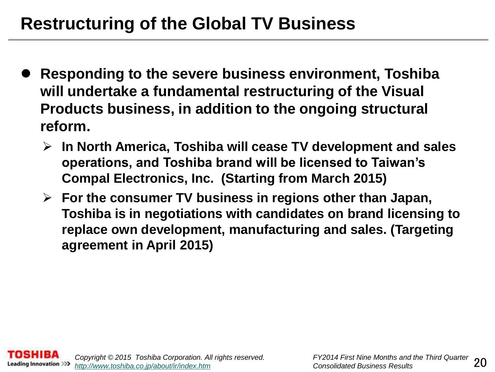# **Restructuring of the Global TV Business**

- **Responding to the severe business environment, Toshiba will undertake a fundamental restructuring of the Visual Products business, in addition to the ongoing structural reform.**
	- **In North America, Toshiba will cease TV development and sales operations, and Toshiba brand will be licensed to Taiwan's Compal Electronics, Inc. (Starting from March 2015)**
	- **For the consumer TV business in regions other than Japan, Toshiba is in negotiations with candidates on brand licensing to replace own development, manufacturing and sales. (Targeting agreement in April 2015)**

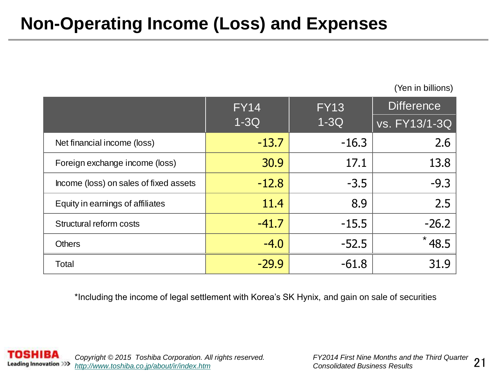# **Non-Operating Income (Loss) and Expenses**

(Yen in billions)

|                                        | <b>FY14</b> | <b>FY13</b> | <b>Difference</b> |  |
|----------------------------------------|-------------|-------------|-------------------|--|
|                                        | $1-3Q$      | $1-3Q$      | vs. FY13/1-3Q     |  |
| Net financial income (loss)            | $-13.7$     | $-16.3$     | 2.6               |  |
| Foreign exchange income (loss)         | 30.9        | 17.1        | 13.8              |  |
| Income (loss) on sales of fixed assets | $-12.8$     | $-3.5$      | $-9.3$            |  |
| Equity in earnings of affiliates       | 11.4        | 8.9         | 2.5               |  |
| Structural reform costs                | $-41.7$     | $-15.5$     | $-26.2$           |  |
| <b>Others</b>                          | $-4.0$      | $-52.5$     | 48.5              |  |
| Total                                  | $-29.9$     | $-61.8$     | 31.9              |  |

\*Including the income of legal settlement with Korea's SK Hynix, and gain on sale of securities

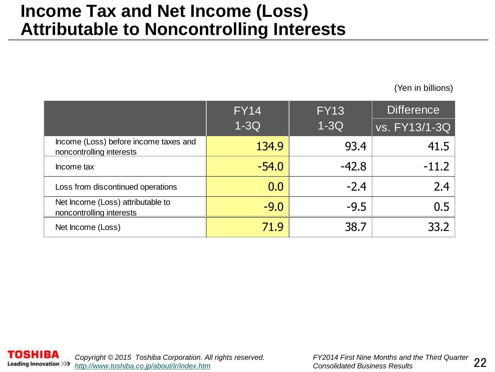#### **Income Tax and Net Income (Loss) Attributable to Noncontrolling Interests**

(Yen in billions)

|                                                                   | <b>FY14</b> | <b>Difference</b><br><b>FY13</b> |               |
|-------------------------------------------------------------------|-------------|----------------------------------|---------------|
|                                                                   | $1-3Q$      | $1-3Q$                           | vs. FY13/1-3Q |
| Income (Loss) before income taxes and<br>noncontrolling interests | 134.9       | 93.4                             | 41.5          |
| Income tax                                                        | $-54.0$     | $-42.8$                          | $-11.2$       |
| Loss from discontinued operations                                 | 0.0         | $-2.4$                           | 2.4           |
| Net Income (Loss) attributable to<br>noncontrolling interests     | $-9.0$      | $-9.5$                           | 0.5           |
| Net Income (Loss)                                                 | 71.9        | 38.7                             | 33.2          |

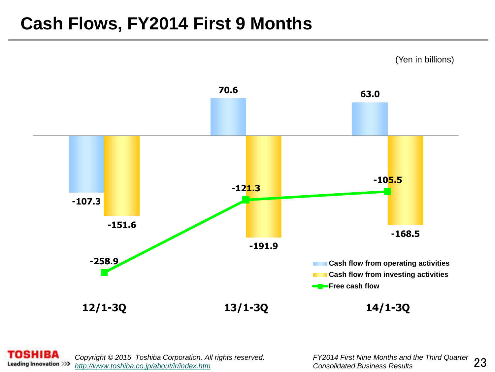### **Cash Flows, FY2014 First 9 Months**



**SHIBA** *Copyright © 2015 Toshiba Corporation. All rights reserved. FY2014 First Nine Months and the Third Quarter*  **Leading Innovation >>>** *<http://www.toshiba.co.jp/about/ir/index.htm> Consolidated Business Results*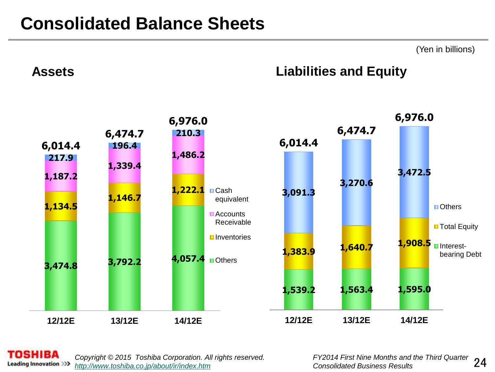### **Consolidated Balance Sheets**

(Yen in billions)

#### **Assets Liabilities and Equity**



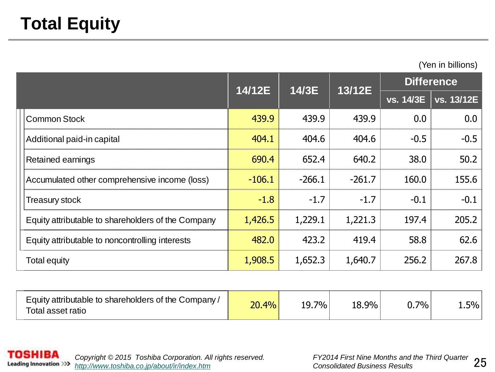(Yen in billions)

|                                                    | 14/12E   | 14/3E    | 13/12E   |           | <b>Difference</b> |
|----------------------------------------------------|----------|----------|----------|-----------|-------------------|
|                                                    |          |          |          | vs. 14/3E | vs. 13/12E        |
| <b>Common Stock</b>                                | 439.9    | 439.9    | 439.9    | 0.0       | 0.0               |
| Additional paid-in capital                         | 404.1    | 404.6    | 404.6    | $-0.5$    | $-0.5$            |
| <b>Retained earnings</b>                           | 690.4    | 652.4    | 640.2    | 38.0      | 50.2              |
| Accumulated other comprehensive income (loss)      | $-106.1$ | $-266.1$ | $-261.7$ | 160.0     | 155.6             |
| <b>Treasury stock</b>                              | $-1.8$   | $-1.7$   | $-1.7$   | $-0.1$    | $-0.1$            |
| Equity attributable to shareholders of the Company | 1,426.5  | 1,229.1  | 1,221.3  | 197.4     | 205.2             |
| Equity attributable to noncontrolling interests    | 482.0    | 423.2    | 419.4    | 58.8      | 62.6              |
| Total equity                                       | 1,908.5  | 1,652.3  | 1,640.7  | 256.2     | 267.8             |

| Equity attributable to shareholders of the Company/<br>Total asset ratio | 20.4% | $7\%$<br>19. | 18.9% | 70/0 | $1.5\%$ |
|--------------------------------------------------------------------------|-------|--------------|-------|------|---------|
|                                                                          |       |              |       |      |         |

**TOSHIBA** *Copyright © 2015 Toshiba Corporation. All rights reserved.* **Leading Innovation >>>** *<http://www.toshiba.co.jp/about/ir/index.htm> Consolidated Business Results*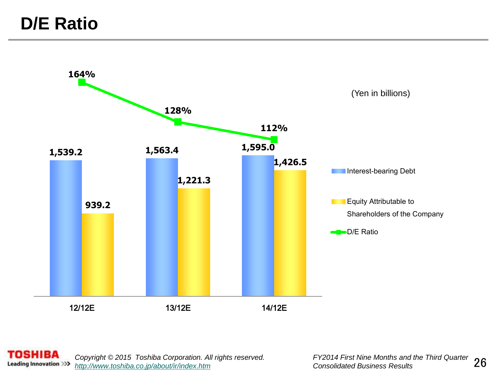

**TOSHIBA** 26 *Copyright © 2015 Toshiba Corporation. All rights reserved. FY2014 First Nine Months and the Third Quarter*  **Leading Innovation >>>** *<http://www.toshiba.co.jp/about/ir/index.htm>*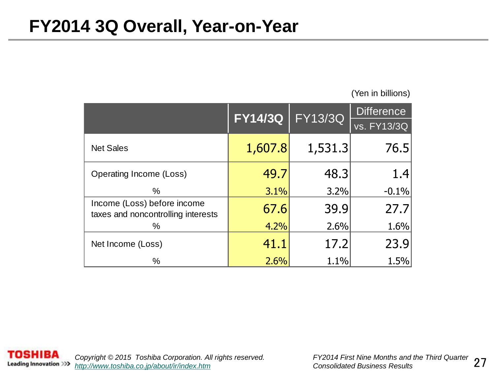(Yen in billions)

|                                                                   | <b>FY14/3Q</b> | <b>FY13/3Q</b> | <b>Difference</b> |
|-------------------------------------------------------------------|----------------|----------------|-------------------|
|                                                                   |                |                | vs. FY13/3Q       |
| <b>Net Sales</b>                                                  | 1,607.8        | 1,531.3        | 76.5              |
| Operating Income (Loss)                                           | 49.7           | 48.3           | 1.4               |
| $\%$                                                              | 3.1%           | 3.2%           | $-0.1%$           |
| Income (Loss) before income<br>taxes and noncontrolling interests | 67.6           | 39.9           | 27.7              |
| %                                                                 | 4.2%           | 2.6%           | 1.6%              |
| Net Income (Loss)                                                 | 41.1           | 17.2           | 23.9              |
| %                                                                 | 2.6%           | 1.1%           | 1.5%              |

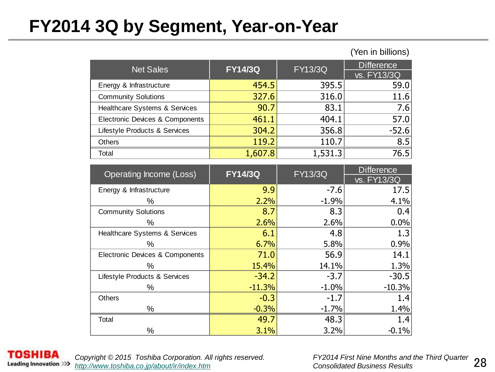### **FY2014 3Q by Segment, Year-on-Year**

|                                            |                |                | וטווווע ווו ווסון |
|--------------------------------------------|----------------|----------------|-------------------|
| <b>Net Sales</b>                           | <b>FY14/3Q</b> | <b>FY13/3Q</b> | <b>Difference</b> |
|                                            |                |                | vs. FY13/3Q       |
| Energy & Infrastructure                    | 454.5          | 395.5          | 59.0              |
| <b>Community Solutions</b>                 | 327.6          | 316.0          | 11.6              |
| Healthcare Systems & Services              | 90.7           | 83.1           | 7.6               |
| <b>Electronic Devices &amp; Components</b> | 461.1          | 404.1          | 57.0              |
| Lifestyle Products & Services              | 304.2          | 356.8          | $-52.6$           |
| <b>Others</b>                              | 119.2          | 110.7          | 8.5               |
| Total                                      | 1,607.8        | 1,531.3        | 76.5              |
|                                            |                |                |                   |

| <b>Operating Income (Loss)</b>  | <b>FY14/3Q</b> | <b>FY13/3Q</b> | <b>Difference</b> |
|---------------------------------|----------------|----------------|-------------------|
|                                 |                |                | vs. FY13/3Q       |
| Energy & Infrastructure         | 9.9            | $-7.6$         | 17.5              |
| %                               | 2.2%           | $-1.9%$        | 4.1%              |
| <b>Community Solutions</b>      | 8.7            | 8.3            | 0.4               |
| ℅                               | 2.6%           | 2.6%           | 0.0%              |
| Healthcare Systems & Services   | 6.1            | 4.8            | 1.3               |
| ℅                               | 6.7%           | 5.8%           | 0.9%              |
| Electronic Devices & Components | 71.0           | 56.9           | 14.1              |
| %                               | 15.4%          | 14.1%          | 1.3%              |
| Lifestyle Products & Services   | $-34.2$        | $-3.7$         | $-30.5$           |
| ℅                               | $-11.3%$       | $-1.0%$        | $-10.3%$          |
| <b>Others</b>                   | $-0.3$         | $-1.7$         | 1.4               |
| ℅                               | $-0.3%$        | $-1.7%$        | 1.4%              |
| Total                           | 49.7           | 48.3           | 1.4               |
| %                               | 3.1%           | 3.2%           | $-0.1%$           |

ISHIBA **Leading Innovation >>>** 

*Copyright © 2015 Toshiba Corporation. All rights reserved. <http://www.toshiba.co.jp/about/ir/index.htm> Consolidated Business Results*

(Yen in billions)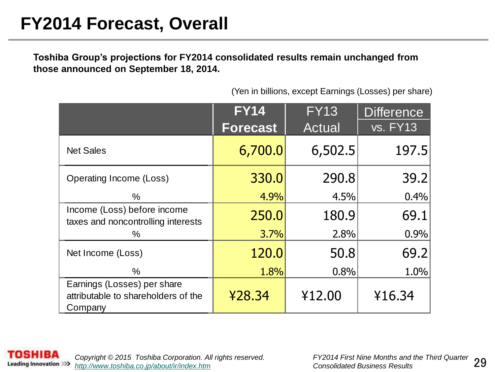**Toshiba Group's projections for FY2014 consolidated results remain unchanged from those announced on September 18, 2014.**

|                                                                               | <b>FY14</b>     | <b>FY13</b> | <b>Difference</b> |
|-------------------------------------------------------------------------------|-----------------|-------------|-------------------|
|                                                                               | <b>Forecast</b> | Actual      | <b>vs. FY13</b>   |
| <b>Net Sales</b>                                                              | 6,700.0         | 6,502.5     | 197.5             |
| Operating Income (Loss)                                                       | 330.0           | 290.8       | 39.2              |
| %                                                                             | 4.9%            | 4.5%        | 0.4%              |
| Income (Loss) before income<br>taxes and noncontrolling interests             | 250.0           | 180.9       | 69.1              |
| ℅                                                                             | 3.7%            | 2.8%        | 0.9%              |
| Net Income (Loss)                                                             | 120.0           | 50.8        | 69.2              |
| %                                                                             | 1.8%            | 0.8%        | 1.0%              |
| Earnings (Losses) per share<br>attributable to shareholders of the<br>Company | ¥28.34          | ¥12.00      | ¥16.34            |

(Yen in billions, except Earnings (Losses) per share)

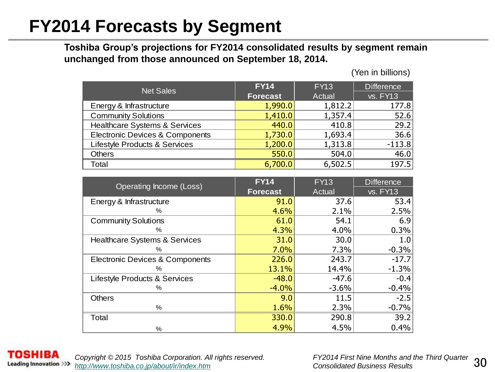### **FY2014 Forecasts by Segment**

**Toshiba Group's projections for FY2014 consolidated results by segment remain unchanged from those announced on September 18, 2014.**

(Yen in billions)

| <b>Net Sales</b>                           | <b>FY14</b>     | <b>FY13</b> | <b>Difference</b> |
|--------------------------------------------|-----------------|-------------|-------------------|
|                                            | <b>Forecast</b> | Actual      | <b>vs. FY13</b>   |
| Energy & Infrastructure                    | 1,990.0         | 1,812.2     | 177.8             |
| <b>Community Solutions</b>                 | 1,410.0         | 1,357.4     | 52.6              |
| Healthcare Systems & Services              | 440.0           | 410.8       | 29.2              |
| <b>Electronic Devices &amp; Components</b> | 1,730.0         | 1,693.4     | 36.6              |
| Lifestyle Products & Services              | 1,200.0         | 1,313.8     | $-113.8$          |
| <b>Others</b>                              | 550.0           | 504.0       | 46.0              |
| Total                                      | 6,700.0         | 6,502.5     | 197.5             |

| Operating Income (Loss)         | <b>FY14</b>     | <b>FY13</b> | <b>Difference</b> |
|---------------------------------|-----------------|-------------|-------------------|
|                                 | <b>Forecast</b> | Actual      | vs. FY13          |
| Energy & Infrastructure         | 91.0            | 37.6        | 53.4              |
| ℅                               | 4.6%            | 2.1%        | 2.5%              |
| <b>Community Solutions</b>      | 61.0            | 54.1        | 6.9               |
| $\%$                            | 4.3%            | 4.0%        | 0.3%              |
| Healthcare Systems & Services   | 31.0            | 30.0        | 1.0               |
| $\%$                            | 7.0%            | 7.3%        | $-0.3%$           |
| Electronic Devices & Components | 226.0           | 243.7       | $-17.7$           |
| $\%$                            | 13.1%           | 14.4%       | $-1.3%$           |
| Lifestyle Products & Services   | $-48.0$         | $-47.6$     | $-0.4$            |
| %                               | $-4.0%$         | $-3.6%$     | $-0.4%$           |
| <b>Others</b>                   | 9.0             | 11.5        | $-2.5$            |
| %                               | 1.6%            | 2.3%        | $-0.7%$           |
| Total                           | 330.0           | 290.8       | 39.2              |
| $\%$                            | 4.9%            | 4.5%        | 0.4%              |



30 *Copyright © 2015 Toshiba Corporation. All rights reserved. FY2014 First Nine Months and the Third Quarter <http://www.toshiba.co.jp/about/ir/index.htm> Consolidated Business Results*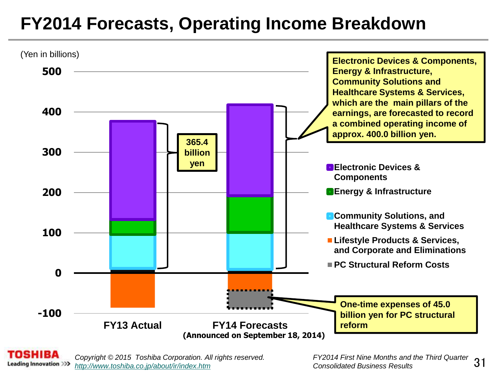## **FY2014 Forecasts, Operating Income Breakdown**



*Copyright © 2015 Toshiba Corporation. All rights reserved. FY2014 First Nine Months and the Third Quarter*  **Leading Innovation >>>** *<http://www.toshiba.co.jp/about/ir/index.htm> Consolidated Business Results*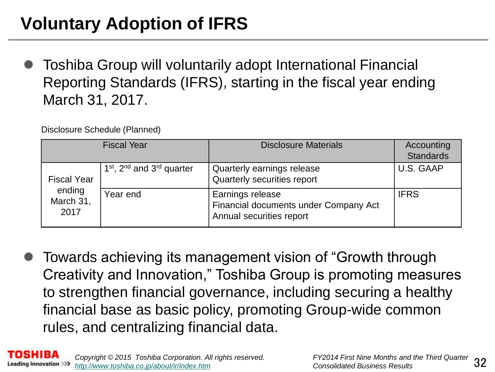# **Voluntary Adoption of IFRS**

 Toshiba Group will voluntarily adopt International Financial Reporting Standards (IFRS), starting in the fiscal year ending March 31, 2017.

Disclosure Schedule (Planned)

|                             | <b>Fiscal Year</b>                                            | <b>Disclosure Materials</b>                                                           | Accounting<br><b>Standards</b> |
|-----------------------------|---------------------------------------------------------------|---------------------------------------------------------------------------------------|--------------------------------|
| <b>Fiscal Year</b>          | 1 <sup>st</sup> , 2 <sup>nd</sup> and 3 <sup>rd</sup> quarter | Quarterly earnings release<br>Quarterly securities report                             | U.S. GAAP                      |
| ending<br>March 31,<br>2017 | Year end                                                      | Earnings release<br>Financial documents under Company Act<br>Annual securities report | <b>IFRS</b>                    |

 Towards achieving its management vision of "Growth through Creativity and Innovation," Toshiba Group is promoting measures to strengthen financial governance, including securing a healthy financial base as basic policy, promoting Group-wide common rules, and centralizing financial data.

L *Copyright © 2015 Toshiba Corporation. All rights reserved. FY2014 First Nine Months and the Third Quarter*  Leading Innovation >>> *<http://www.toshiba.co.jp/about/ir/index.htm> Consolidated Business Results*